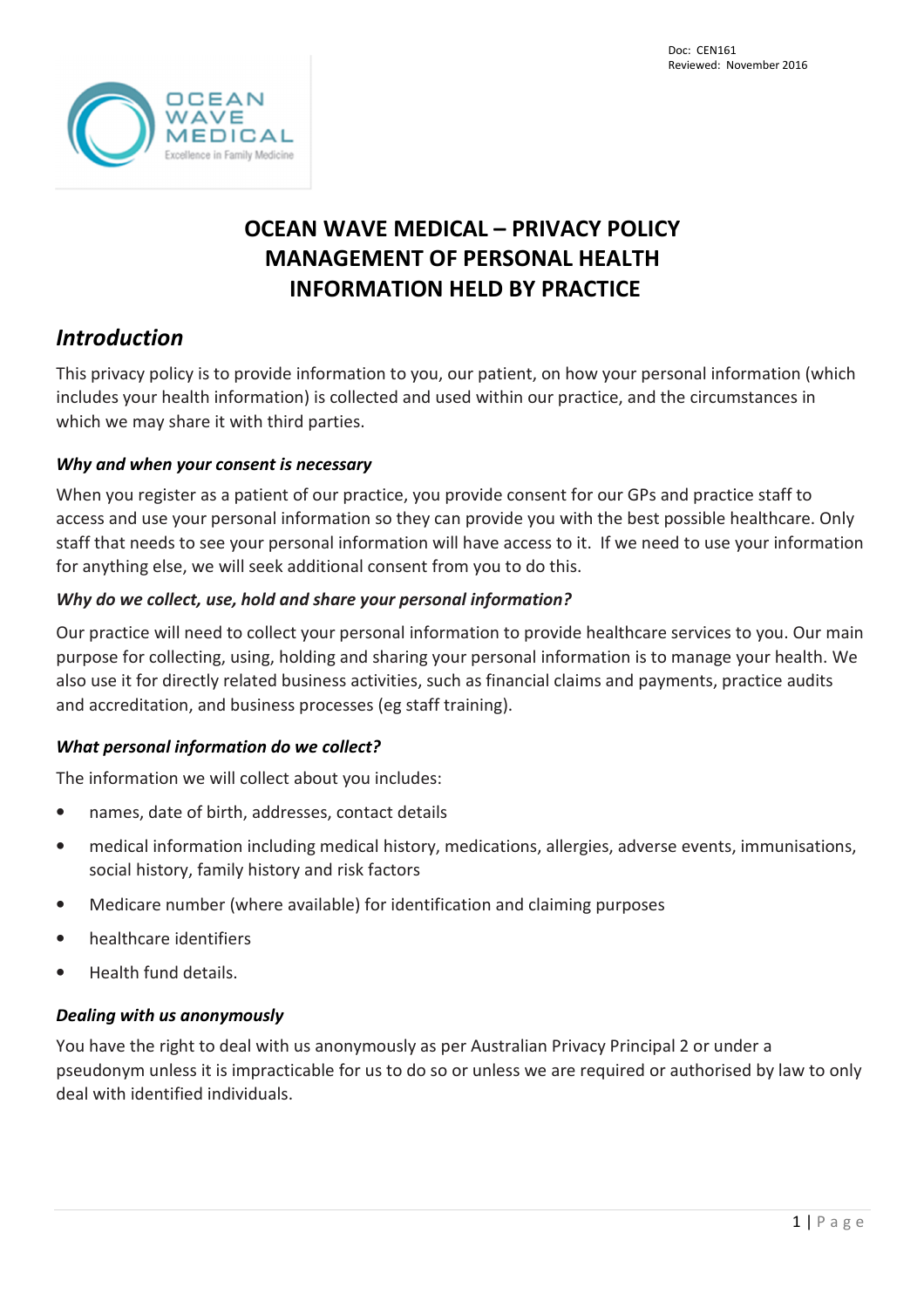

# **OCEAN WAVE MEDICAL – PRIVACY POLICY MANAGEMENT OF PERSONAL HEALTH INFORMATION HELD BY PRACTICE**

# *Introduction*

This privacy policy is to provide information to you, our patient, on how your personal information (which includes your health information) is collected and used within our practice, and the circumstances in which we may share it with third parties.

#### *Why and when your consent is necessary*

When you register as a patient of our practice, you provide consent for our GPs and practice staff to access and use your personal information so they can provide you with the best possible healthcare. Only staff that needs to see your personal information will have access to it. If we need to use your information for anything else, we will seek additional consent from you to do this.

#### *Why do we collect, use, hold and share your personal information?*

Our practice will need to collect your personal information to provide healthcare services to you. Our main purpose for collecting, using, holding and sharing your personal information is to manage your health. We also use it for directly related business activities, such as financial claims and payments, practice audits and accreditation, and business processes (eg staff training).

## *What personal information do we collect?*

The information we will collect about you includes:

- names, date of birth, addresses, contact details
- medical information including medical history, medications, allergies, adverse events, immunisations, social history, family history and risk factors
- Medicare number (where available) for identification and claiming purposes
- healthcare identifiers
- Health fund details.

#### *Dealing with us anonymously*

You have the right to deal with us anonymously as per Australian Privacy Principal 2 or under a pseudonym unless it is impracticable for us to do so or unless we are required or authorised by law to only deal with identified individuals.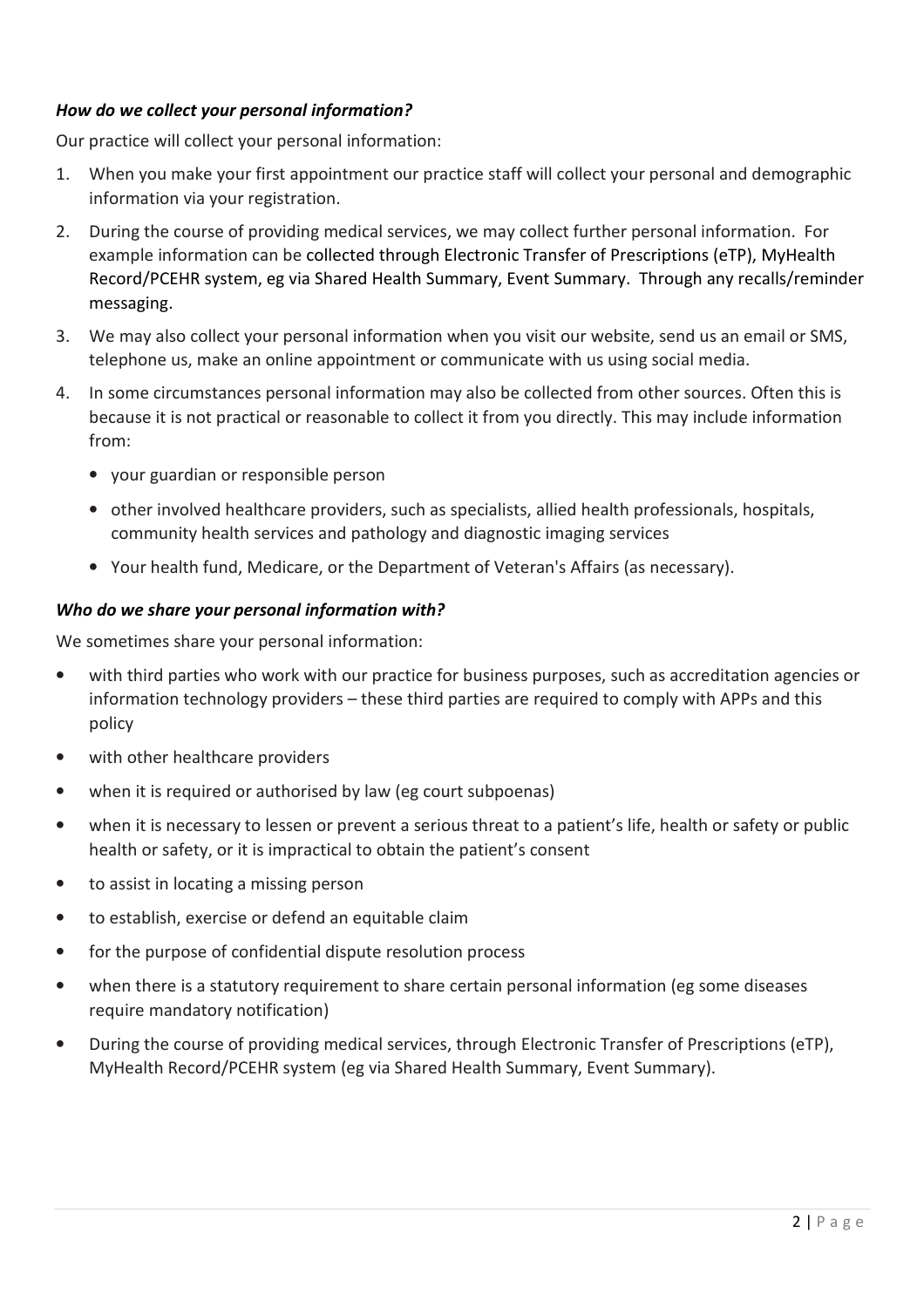#### *How do we collect your personal information?*

Our practice will collect your personal information:

- 1. When you make your first appointment our practice staff will collect your personal and demographic information via your registration.
- 2. During the course of providing medical services, we may collect further personal information. For example information can be collected through Electronic Transfer of Prescriptions (eTP), MyHealth Record/PCEHR system, eg via Shared Health Summary, Event Summary. Through any recalls/reminder messaging.
- 3. We may also collect your personal information when you visit our website, send us an email or SMS, telephone us, make an online appointment or communicate with us using social media.
- 4. In some circumstances personal information may also be collected from other sources. Often this is because it is not practical or reasonable to collect it from you directly. This may include information from:
	- your guardian or responsible person
	- other involved healthcare providers, such as specialists, allied health professionals, hospitals, community health services and pathology and diagnostic imaging services
	- Your health fund, Medicare, or the Department of Veteran's Affairs (as necessary).

#### *Who do we share your personal information with?*

We sometimes share your personal information:

- with third parties who work with our practice for business purposes, such as accreditation agencies or information technology providers – these third parties are required to comply with APPs and this policy
- with other healthcare providers
- when it is required or authorised by law (eg court subpoenas)
- when it is necessary to lessen or prevent a serious threat to a patient's life, health or safety or public health or safety, or it is impractical to obtain the patient's consent
- to assist in locating a missing person
- to establish, exercise or defend an equitable claim
- for the purpose of confidential dispute resolution process
- when there is a statutory requirement to share certain personal information (eg some diseases require mandatory notification)
- During the course of providing medical services, through Electronic Transfer of Prescriptions (eTP), MyHealth Record/PCEHR system (eg via Shared Health Summary, Event Summary).